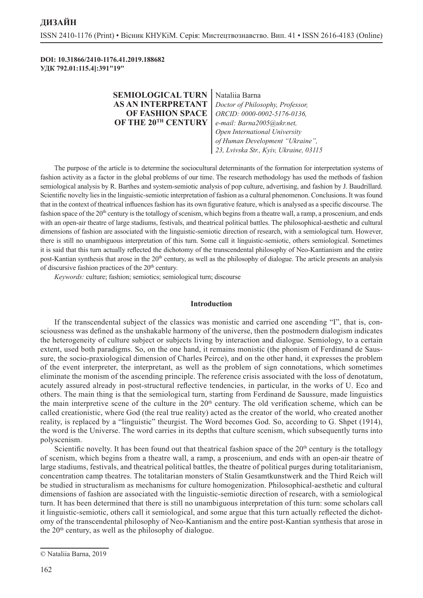**DOI: 10.31866/2410-1176.41.2019.188682 УДК 792.01:115.4]:391"19"**

| <b>SEMIOLOGICAL TURN</b> | Nataliia Barna                                                                                                                           |
|--------------------------|------------------------------------------------------------------------------------------------------------------------------------------|
| AS AN INTERPRETANT       | Doctor of Philosophy, Professor,                                                                                                         |
| <b>OF FASHION SPACE</b>  | ORCID: 0000-0002-5176-0136,                                                                                                              |
| OF THE 20TH CENTURY      | e-mail: Barna2005@ukr.net,<br>Open International University<br>of Human Development "Ukraine",<br>23, Lvivska Str., Kyiv, Ukraine, 03115 |
|                          |                                                                                                                                          |

The purpose of the article is to determine the sociocultural determinants of the formation for interpretation systems of fashion activity as a factor in the global problems of our time. The research methodology has used the methods of fashion semiological analysis by R. Barthes and system-semiotic analysis of pop culture, advertising, and fashion by J. Baudrillard. Scientific novelty lies in the linguistic-semiotic interpretation of fashion as a cultural phenomenon. Conclusions. It was found that in the context of theatrical influences fashion has its own figurative feature, which is analysed as a specific discourse. The fashion space of the 20<sup>th</sup> century is the totallogy of scenism, which begins from a theatre wall, a ramp, a proscenium, and ends with an open-air theatre of large stadiums, festivals, and theatrical political battles. The philosophical-aesthetic and cultural dimensions of fashion are associated with the linguistic-semiotic direction of research, with a semiological turn. However, there is still no unambiguous interpretation of this turn. Some call it linguistic-semiotic, others semiological. Sometimes it is said that this turn actually reflected the dichotomy of the transcendental philosophy of Neo-Kantianism and the entire post-Kantian synthesis that arose in the 20<sup>th</sup> century, as well as the philosophy of dialogue. The article presents an analysis of discursive fashion practices of the  $20<sup>th</sup>$  century.

*Keywords:* culture; fashion; semiotics; semiological turn; discourse

#### **Introduction**

If the transcendental subject of the classics was monistic and carried one ascending "I", that is, consciousness was defined as the unshakable harmony of the universe, then the postmodern dialogism indicates the heterogeneity of culture subject or subjects living by interaction and dialogue. Semiology, to a certain extent, used both paradigms. So, on the one hand, it remains monistic (the phonism of Ferdinand de Saussure, the socio-praxiological dimension of Charles Peirce), and on the other hand, it expresses the problem of the event interpreter, the interpretant, as well as the problem of sign connotations, which sometimes eliminate the monism of the ascending principle. The reference crisis associated with the loss of denotatum, acutely assured already in post-structural reflective tendencies, in particular, in the works of U. Eco and others. The main thing is that the semiological turn, starting from Ferdinand de Saussure, made linguistics the main interpretive scene of the culture in the  $20<sup>th</sup>$  century. The old verification scheme, which can be called creationistic, where God (the real true reality) acted as the creator of the world, who created another reality, is replaced by a "linguistic" theurgist. The Word becomes God. So, according to G. Shpet (1914), the word is the Universe. The word carries in its depths that culture scenism, which subsequently turns into polyscenism.

Scientific novelty. It has been found out that theatrical fashion space of the  $20<sup>th</sup>$  century is the totallogy of scenism, which begins from a theatre wall, a ramp, a proscenium, and ends with an open-air theatre of large stadiums, festivals, and theatrical political battles, the theatre of political purges during totalitarianism, concentration camp theatres. The totalitarian monsters of Stalin Gesamtkunstwerk and the Third Reich will be studied in structuralism as mechanisms for culture homogenization. Philosophical-aesthetic and cultural dimensions of fashion are associated with the linguistic-semiotic direction of research, with a semiological turn. It has been determined that there is still no unambiguous interpretation of this turn: some scholars call it linguistic-semiotic, others call it semiological, and some argue that this turn actually reflected the dichotomy of the transcendental philosophy of Neo-Kantianism and the entire post-Kantian synthesis that arose in the 20<sup>th</sup> century, as well as the philosophy of dialogue.

<sup>©</sup> Nataliia Barna, 2019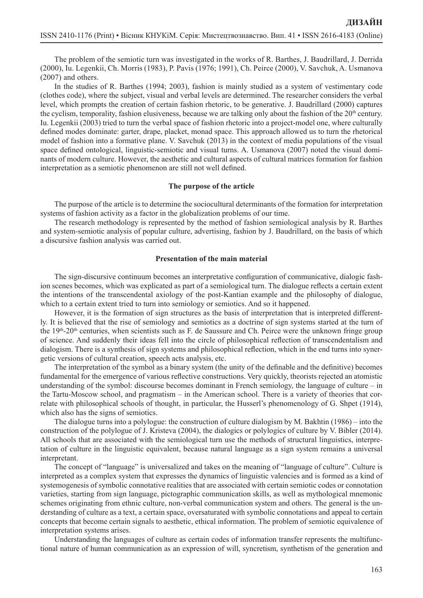The problem of the semiotic turn was investigated in the works of R. Barthes, J. Baudrillard, J. Derrida (2000), Iu. Legenkii, Ch. Morris (1983), P. Pavis (1976; 1991), Ch. Peirce (2000), V. Savchuk, A. Usmanova (2007) and others.

In the studies of R. Barthes (1994; 2003), fashion is mainly studied as a system of vestimentary code (clothes code), where the subject, visual and verbal levels are determined. The researcher considers the verbal level, which prompts the creation of certain fashion rhetoric, to be generative. J. Baudrillard (2000) captures the cyclism, temporality, fashion elusiveness, because we are talking only about the fashion of the  $20<sup>th</sup>$  century. Iu. Legenkii (2003) tried to turn the verbal space of fashion rhetoric into a project-model one, where culturally defined modes dominate: garter, drape, placket, monad space. This approach allowed us to turn the rhetorical model of fashion into a formative plane. V. Savchuk (2013) in the context of media populations of the visual space defined ontological, linguistic-semiotic and visual turns. A. Usmanova (2007) noted the visual dominants of modern culture. However, the aesthetic and cultural aspects of cultural matrices formation for fashion interpretation as a semiotic phenomenon are still not well defined.

### **The purpose of the article**

The purpose of the article is to determine the sociocultural determinants of the formation for interpretation systems of fashion activity as a factor in the globalization problems of our time.

The research methodology is represented by the method of fashion semiological analysis by R. Barthes and system-semiotic analysis of popular culture, advertising, fashion by J. Baudrillard, on the basis of which a discursive fashion analysis was carried out.

#### **Presentation of the main material**

The sign-discursive continuum becomes an interpretative configuration of communicative, dialogic fashion scenes becomes, which was explicated as part of a semiological turn. The dialogue reflects a certain extent the intentions of the transcendental axiology of the post-Kantian example and the philosophy of dialogue, which to a certain extent tried to turn into semiology or semiotics. And so it happened.

However, it is the formation of sign structures as the basis of interpretation that is interpreted differently. It is believed that the rise of semiology and semiotics as a doctrine of sign systems started at the turn of the  $19<sup>th</sup>-20<sup>th</sup>$  centuries, when scientists such as F. de Saussure and Ch. Peirce were the unknown fringe group of science. And suddenly their ideas fell into the circle of philosophical reflection of transcendentalism and dialogism. There is a synthesis of sign systems and philosophical reflection, which in the end turns into synergetic versions of cultural creation, speech acts analysis, etc.

The interpretation of the symbol as a binary system (the unity of the definable and the definitive) becomes fundamental for the emergence of various reflective constructions. Very quickly, theorists rejected an atomistic understanding of the symbol: discourse becomes dominant in French semiology, the language of culture – in the Tartu-Moscow school, and pragmatism – in the American school. There is a variety of theories that correlate with philosophical schools of thought, in particular, the Husserl's phenomenology of G. Shpet (1914), which also has the signs of semiotics.

The dialogue turns into a polylogue: the construction of culture dialogism by M. Bakhtin (1986) – into the construction of the polylogue of J. Kristeva (2004), the dialogics or polylogics of culture by V. Bibler (2014). All schools that are associated with the semiological turn use the methods of structural linguistics, interpretation of culture in the linguistic equivalent, because natural language as a sign system remains a universal interpretant.

The concept of "language" is universalized and takes on the meaning of "language of culture". Culture is interpreted as a complex system that expresses the dynamics of linguistic valencies and is formed as a kind of systemogenesis of symbolic connotative realities that are associated with certain semiotic codes or connotation varieties, starting from sign language, pictographic communication skills, as well as mythological mnemonic schemes originating from ethnic culture, non-verbal communication system and others. The general is the understanding of culture as a text, a certain space, oversaturated with symbolic connotations and appeal to certain concepts that become certain signals to aesthetic, ethical information. The problem of semiotic equivalence of interpretation systems arises.

Understanding the languages of culture as certain codes of information transfer represents the multifunctional nature of human communication as an expression of will, syncretism, synthetism of the generation and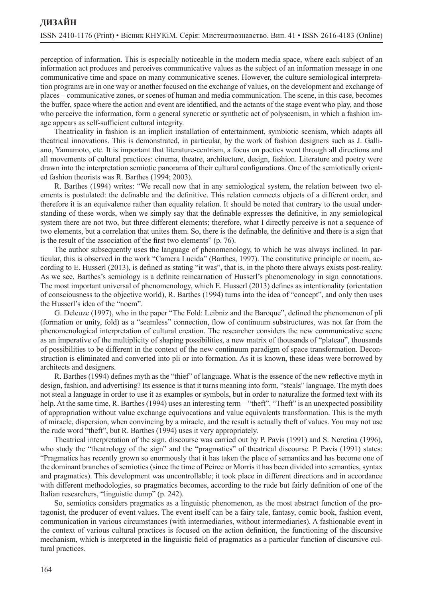perception of information. This is especially noticeable in the modern media space, where each subject of an information act produces and perceives communicative values as the subject of an information message in one communicative time and space on many communicative scenes. However, the culture semiological interpretation programs are in one way or another focused on the exchange of values, on the development and exchange of places – communicative zones, or scenes of human and media communication. The scene, in this case, becomes the buffer, space where the action and event are identified, and the actants of the stage event who play, and those who perceive the information, form a general syncretic or synthetic act of polyscenism, in which a fashion image appears as self-sufficient cultural integrity.

Theatricality in fashion is an implicit installation of entertainment, symbiotic scenism, which adapts all theatrical innovations. This is demonstrated, in particular, by the work of fashion designers such as J. Galliano, Yamamoto, etc. It is important that literature-centrism, a focus on poetics went through all directions and all movements of cultural practices: cinema, theatre, architecture, design, fashion. Literature and poetry were drawn into the interpretation semiotic panorama of their cultural configurations. One of the semiotically oriented fashion theorists was R. Barthes (1994; 2003).

R. Barthes (1994) writes: "We recall now that in any semiological system, the relation between two elements is postulated: the definable and the definitive. This relation connects objects of a different order, and therefore it is an equivalence rather than equality relation. It should be noted that contrary to the usual understanding of these words, when we simply say that the definable expresses the definitive, in any semiological system there are not two, but three different elements; therefore, what I directly perceive is not a sequence of two elements, but a correlation that unites them. So, there is the definable, the definitive and there is a sign that is the result of the association of the first two elements" (p. 76).

The author subsequently uses the language of phenomenology, to which he was always inclined. In particular, this is observed in the work "Camera Lucida" (Barthes, 1997). The constitutive principle or noem, according to E. Husserl (2013), is defined as stating "it was", that is, in the photo there always exists post-reality. As we see, Barthes's semiology is a definite reincarnation of Husserl's phenomenology in sign connotations. The most important universal of phenomenology, which E. Husserl (2013) defines as intentionality (orientation of consciousness to the objective world), R. Barthes (1994) turns into the idea of "concept", and only then uses the Husserl's idea of the "noem".

G. Deleuze (1997), who in the paper "The Fold: Leibniz and the Baroque", defined the phenomenon of pli (formation or unity, fold) as a "seamless" connection, flow of continuum substructures, was not far from the phenomenological interpretation of cultural creation. The researcher considers the new communicative scene as an imperative of the multiplicity of shaping possibilities, a new matrix of thousands of "plateau", thousands of possibilities to be different in the context of the new continuum paradigm of space transformation. Deconstruction is eliminated and converted into pli or into formation. As it is known, these ideas were borrowed by architects and designers.

R. Barthes (1994) defines myth as the "thief" of language. What is the essence of the new reflective myth in design, fashion, and advertising? Its essence is that it turns meaning into form, "steals" language. The myth does not steal a language in order to use it as examples or symbols, but in order to naturalize the formed text with its help. At the same time, R. Barthes (1994) uses an interesting term – "theft". "Theft" is an unexpected possibility of appropriation without value exchange equivocations and value equivalents transformation. This is the myth of miracle, dispersion, when convincing by a miracle, and the result is actually theft of values. You may not use the rude word "theft", but R. Barthes (1994) uses it very appropriately.

Theatrical interpretation of the sign, discourse was carried out by P. Pavis (1991) and S. Neretina (1996), who study the "theatrology of the sign" and the "pragmatics" of theatrical discourse. P. Pavis (1991) states: "Pragmatics has recently grown so enormously that it has taken the place of semantics and has become one of the dominant branches of semiotics (since the time of Peirce or Morris it has been divided into semantics, syntax and pragmatics). This development was uncontrollable; it took place in different directions and in accordance with different methodologies, so pragmatics becomes, according to the rude but fairly definition of one of the Italian researchers, "linguistic dump" (p. 242).

So, semiotics considers pragmatics as a linguistic phenomenon, as the most abstract function of the protagonist, the producer of event values. The event itself can be a fairy tale, fantasy, comic book, fashion event, communication in various circumstances (with intermediaries, without intermediaries). A fashionable event in the context of various cultural practices is focused on the action definition, the functioning of the discursive mechanism, which is interpreted in the linguistic field of pragmatics as a particular function of discursive cultural practices.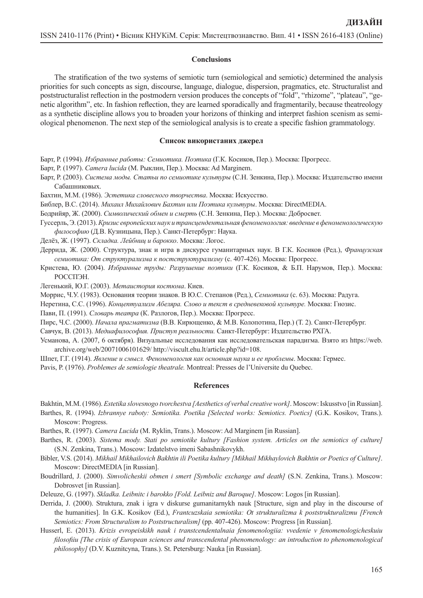#### **Conclusions**

The stratification of the two systems of semiotic turn (semiological and semiotic) determined the analysis priorities for such concepts as sign, discourse, language, dialogue, dispersion, pragmatics, etc. Structuralist and poststructuralist reflection in the postmodern version produces the concepts of "fold", "rhizome", "plateau", "genetic algorithm", etc. In fashion reflection, they are learned sporadically and fragmentarily, because theatreology as a synthetic discipline allows you to broaden your horizons of thinking and interpret fashion scenism as semiological phenomenon. The next step of the semiological analysis is to create a specific fashion grammatology.

#### **Список використаних джерел**

- Барт, Р. (1994). *Избранные работы: Семиотика. Поэтика* (Г.К. Косиков, Пер.). Москва: Прогресс.
- Барт, Р. (1997). *Сamera lucida* (М. Рыклин, Пер.). Москва: Ad Marginem.
- Барт, Р. (2003). *Система моды. Статьи по семиотике культуры* (С.Н. Зенкина, Пер.). Москва: Издательство имени Сабашниковых.
- Бахтин, М.М. (1986). *Эстетика словесного творчества*. Москва: Искусство.
- Библер, В.С. (2014). *Михаил Михайлович Бахтин или Поэтика культуры*. Москва: DirectMEDIA.
- Бодрийяр, Ж. (2000). *Символический обмен и смерть* (С.Н. Зенкина, Пер.). Москва: Добросвет.
- Гуссерль, Э. (2013). *Кризис европейских наук итрансцендентальнаяфеноменология: введение вфеноменологическую философию* (Д.В. Кузницына, Пер.). Санкт-Петербург: Наука.
- Делёз, Ж. (1997). *Складка. Лейбниц и барокко*. Москва: Логос.
- Деррида, Ж. (2000). Структура, знак и игра в дискурсе гуманитарных наук. В Г.К. Косиков (Ред.), *Французская семиотика: От структурализма к постструктурализму* (с. 407-426). Москва: Прогресс.
- Кристева, Ю. (2004). *Избранные труды: Разрушение поэтики* (Г.К. Косиков, & Б.П. Нарумов, Пер.). Москва: РОССПЭН.
- Легенький, Ю.Г. (2003). *Метаистория костюма*. Киев.
- Моррис, Ч.У. (1983). Основания теории знаков. В Ю.С. Степанов (Ред.), *Семиотика* (с. 63). Москва: Радуга.
- Неретина, С.С. (1996). *Концептуализм Абеляра. Слово и текст в средневековой культуре.* Москва: Гнозис.
- Пави, П. (1991). *Словарь театра* (К. Разлогов, Пер.). Москва: Прогресс.
- Пирс, Ч.С. (2000). *Начала прагматизма* (В.В. Кирющенко, & М.В. Колопотина, Пер.) (Т. 2). Санкт-Петербург.

Савчук, В. (2013). *Медиафилософия. Приступ реальности.* Санкт-Петербург: Издательство РХГА.

- Усманова, А. (2007, 6 октября). Визуальные исследования как исследовательская парадигма. Взято из https://web. archive.org/web/20071006101629/ http://viscult.ehu.lt/article.php?id=108.
- Шпет, Г.Г. (1914). *Явление и смысл. Феноменология как основная наука и ее проблемы*. Москва: Гермес.
- Pavis, P. (1976). *Problemes de semiologie theatrale.* Montreal: Presses de l'Universite du Quebec.

#### **References**

Bakhtin, M.M. (1986). *Estetika slovesnogo tvorchestva [Aesthetics of verbal creativework]*. Moscow: Iskusstvo [in Russian].

- Barthes, R. (1994). *Izbrannye raboty: Semiotika. Poetika [Selected works: Semiotics. Poetics]* (G.K. Kosikov, Trans.). Moscow: Progress.
- Barthes, R. (1997). *Camera Lucida* (M. Ryklin, Trans.). Moscow: Ad Marginem [in Russian].
- Barthes, R. (2003). *Sistema mody. Stati po semiotike kultury [Fashion system. Articles on the semiotics of culture]* (S.N. Zenkina, Trans.). Moscow: Izdatelstvo imeni Sabashnikovykh.
- Bibler, V.S. (2014). *Mikhail Mikhailovich Bakhtin ili Poetika kultury [Mikhail Mikhaylovich Bakhtin or Poetics of Culture]*. Moscow: DirectMEDIA [in Russian].
- Boudrillard, J. (2000). *Simvolicheskii obmen i smert [Symbolic exchange and death]* (S.N. Zenkina, Trans.). Moscow: Dobrosvet [in Russian].
- Deleuze, G. (1997). *Skladka. Leibnitc i barokko [Fold. Leibniz and Baroque]*. Moscow: Logos [in Russian].
- Derrida, J. (2000). Struktura, znak i igra v diskurse gumanitarnykh nauk [Structure, sign and play in the discourse of the humanities]. In G.K. Kosikov (Ed.), *Frantcuzskaia semiotika: Ot strukturalizma k poststrukturalizmu [French Semiotics: From Structuralism to Poststructuralism]* (pp. 407-426). Moscow: Progress [in Russian].
- Husserl, E. (2013). *Krizis evropeiskikh nauk i transtcendentalnaia fenomenologiia: vvedenie v fenomenologicheskuiu filosofiiu [The crisis of European sciences and transcendental phenomenology: an introduction to phenomenological philosophy]* (D.V. Kuznitcyna, Trans.). St. Petersburg: Nauka [in Russian].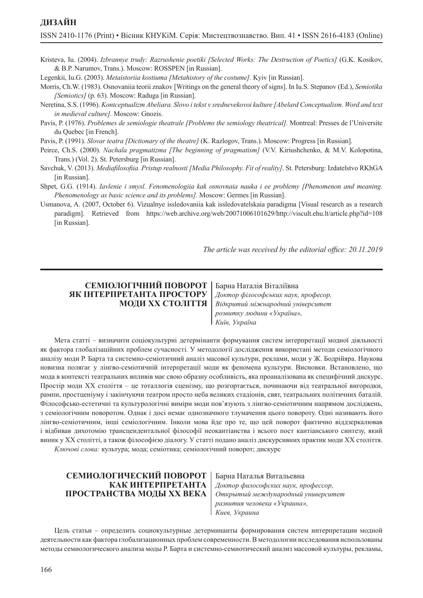# **ДИЗАЙН**

Kristeva, Iu. (2004). *Izbrannye trudy: Razrushenie poetiki [Selected Works: The Destruction of Poetics]* (G.K. Kosikov, & B.P. Narumov, Trans.). Moscow: ROSSPEN [in Russian].

Legenkii, Iu.G. (2003). *Metaistoriia kostiuma [Metahistory of the costume].* Kyiv [in Russian].

- Morris, Ch.W. (1983). Osnovaniia teorii znakov [Writings on the general theory of signs]. In Iu.S. Stepanov (Ed.), *Semiotika [Semiotics]* (p. 63). Moscow: Raduga [in Russian].
- Neretina, S.S. (1996). *Kontceptualizm Abeliara. Slovo i tekst v srednevekovoi kulture [Abelard Conceptualism. Word and text in medieval culture].* Moscow: Gnozis.
- Pavis, P. (1976). *Problemes de semiologie theatrale [Problems the semiology theatrical].* Montreal: Presses de l'Universite du Quebec [in French].
- Pavis, P. (1991). *Slovar teatra [Dictionary of the theatre]* (K. Razlogov, Trans.). Moscow: Progress [in Russian].
- Peirce, Ch.S. (2000). *Nachala pragmatizma [The beginning of pragmatism]* (V.V. Kiriushchenko, & M.V. Kolopotina, Trans.) (Vol. 2). St. Petersburg [in Russian].
- Savchuk, V. (2013). *Mediafilosofiia. Pristup realnosti [Media Philosophy. Fit of reality]*. St. Petersburg: Izdatelstvo RKhGA [in Russian].
- Shpet, G.G. (1914). *Iavlenie i smysl. Fenomenologiia kak osnovnaia nauka i ee problemy [Phenomenon and meaning. Phenomenology as basic science and its problems].* Moscow: Germes [in Russian].
- Usmanova, A. (2007, October 6). Vizualnye issledovaniia kak issledovatelskaia paradigma [Visual research as a research paradigm]. Retrieved from https://web.archive.org/web/20071006101629/http://viscult.ehu.lt/article.php?id=108 [in Russian].

*The article was received by the editorial office: 20.11.2019*

## **СЕМІОЛОГІЧНИЙ ПОВОРОТ ЯК ІНТЕРПРЕТАНТА ПРОСТОРУ МОДИ ХХ СТОЛІТТЯ**

Барна Наталія Віталіївна *Доктор філософських наук, професор, Відкритий міжнародний університет розвитку людини «Україна»,*

*Київ, Україна*

Мета статті – визначити соціокультурні детермінанти формування систем інтерпретації модної діяльності як фактора глобалізаційних проблем сучасності. У методології дослідження використані методи семіологічного аналізу моди Р. Барта та системно-семіотичний аналіз масової культури, реклами, моди у Ж. Бодрійяра. Наукова новизна полягає у лінгво-семіотичній інтерпретації моди як феномена культури. Висновки. Встановлено, що мода в контексті театральних впливів має свою образну особливість, яка проаналізована як специфічний дискурс. Простір моди ХХ століття – це тоталлогія сценізму, що розгортається, починаючи від театральної вигородки, рампи, простценіуму і закінчуючи театром просто неба великих стадіонів, свят, театральних політичних баталій. Філософсько-естетичні та культурологічні виміри моди пов'язують з лінгво-семіотичним напрямом досліджень, з семіологічним поворотом. Однак і досі немає однозначного тлумачення цього повороту. Одні називають його лінгво-семіотичним, інші семіологічним. Інколи мова йде про те, що цей поворот фактично віддзеркалював і відбивав дихотомію трансцендентальної філософії неокантіанства і всього пост кантіанського синтезу, який виник у ХХ столітті, а також філософією діалогу. У статті подано аналіз дискурсивних практик моди ХХ століття. *Ключові слова:* культура; мода; семіотика; семіологічний поворот; дискурс

### **СЕМИОЛОГИЧЕСКИЙ ПОВОРОТ КАК ИНТЕРПРЕТАНТА ПРОСТРАНСТВА МОДЫ ХХ ВЕКА**

Барна Наталья Витальевна *Доктор философских наук, профессор, Открытый международный университет развития человека «Украина», Киев, Украина*

Цель статьи – определить социокультурные детерминанты формирования систем интерпретации модной деятельности как фактора глобализационных проблем современности. В методологии исследования использованы методы семиологического анализа моды Р. Барта и системно-семиотический анализ массовой культуры, рекламы,